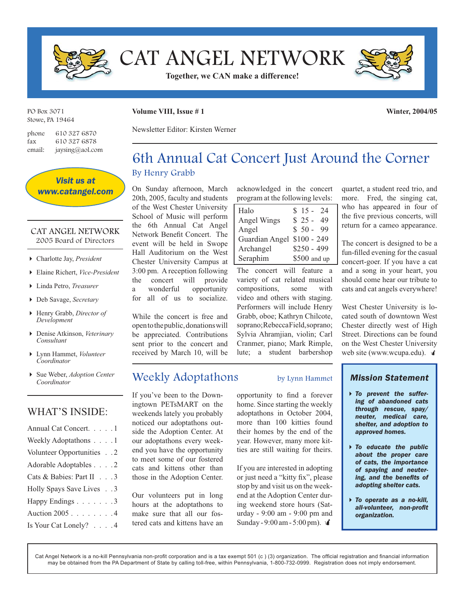

CAT ANGEL NETWORK

**Together, we CAN make a difference!**



PO Box 3071 Stowe, PA 19464

phone 610 327 6870 fax 610 327 6878

email: jaysing@aol.com

**Volume VIII, Issue # 1**

**Winter, 2004/05**

Newsletter Editor: Kirsten Werner

## 6th Annual Cat Concert Just Around the Corner By Henry Grabb

On Sunday afternoon, March 20th, 2005, faculty and students of the West Chester University School of Music will perform the 6th Annual Cat Angel Network Benefit Concert. The event will be held in Swope Hall Auditorium on the West Chester University Campus at 3:00 pm. A reception following the concert will provide a wonderful opportunity for all of us to socialize.

While the concert is free and open to the public, donations will be appreciated. Contributions sent prior to the concert and received by March 10, will be

## Weekly Adoptathons by Lynn Hammet

If you've been to the Downingtown PETsMART on the weekends lately you probably noticed our adoptathons outside the Adoption Center. At our adoptathons every weekend you have the opportunity to meet some of our fostered cats and kittens other than those in the Adoption Center.

Our volunteers put in long hours at the adoptathons to make sure that all our fostered cats and kittens have an

acknowledged in the concert program at the following levels:

| Halo                       | $$15 - 24$   |
|----------------------------|--------------|
| Angel Wings                | $$25-$<br>49 |
| Angel                      | $$50 - 99$   |
| Guardian Angel \$100 - 249 |              |
| Archangel                  | $$250 - 499$ |
| Seraphim                   | \$500 and up |

The concert will feature a variety of cat related musical compositions, some with video and others with staging. Performers will include Henry Grabb, oboe; Kathryn Chilcote, soprano; Rebecca Field, soprano; Sylvia Ahramjian, violin; Carl Cranmer, piano; Mark Rimple, lute; a student barbershop

opportunity to find a forever home. Since starting the weekly adoptathons in October 2004, more than 100 kitties found their homes by the end of the year. However, many more kitties are still waiting for theirs.

If you are interested in adopting or just need a "kitty fix", please stop by and visit us on the weekend at the Adoption Center during weekend store hours (Saturday - 9:00 am - 9:00 pm and Sunday - 9:00 am - 5:00 pm).  $\sqrt{\frac{4}{}}$ 

quartet, a student reed trio, and more. Fred, the singing cat, who has appeared in four of the five previous concerts, will return for a cameo appearance.

The concert is designed to be a fun-filled evening for the casual concert-goer. If you have a cat and a song in your heart, you should come hear our tribute to cats and cat angels everywhere!

West Chester University is located south of downtown West Chester directly west of High Street. Directions can be found on the West Chester University web site (www.wcupa.edu).  $\mathbf{\dot{a}}$ 

### *Mission Statement*

- *To prevent the suffering of abandoned cats through rescue, spay/ neuter, medical care, shelter, and adoption to approved homes.*
- *To educate the public about the proper care of cats, the importance of spaying and neutering, and the benefits of adopting shelter cats.*
- *To operate as a no-kill, all-volunteer, non-profi t organization.*

Cat Angel Network is a no-kill Pennsylvania non-profit corporation and is a tax exempt 501 (c) (3) organization. The official registration and financial information may be obtained from the PA Department of State by calling toll-free, within Pennsylvania, 1-800-732-0999. Registration does not imply endorsement.



### CAT ANGEL NETWORK 2005 Board of Directors

- Charlotte Jay, *President*
- Elaine Richert, *Vice-President*
- Linda Petro, *Treasurer*
- Deb Savage, *Secretary*
- Henry Grabb, *Director of Development*
- Denise Atkinson, *Veterinary Consultant*
- Lynn Hammet, *Volunteer Coordinator*
- Sue Weber, *Adoption Center Coordinator*

## WHAT'S INSIDE:

| Annual Cat Concert. 1     |
|---------------------------|
| Weekly Adoptathons 1      |
| Volunteer Opportunities 2 |
| Adorable Adoptables 2     |
| Cats & Babies: Part II 3  |
| Holly Spays Save Lives 3  |
| Happy Endings 3           |
| Auction 2005 4            |
| Is Your Cat Lonely? 4     |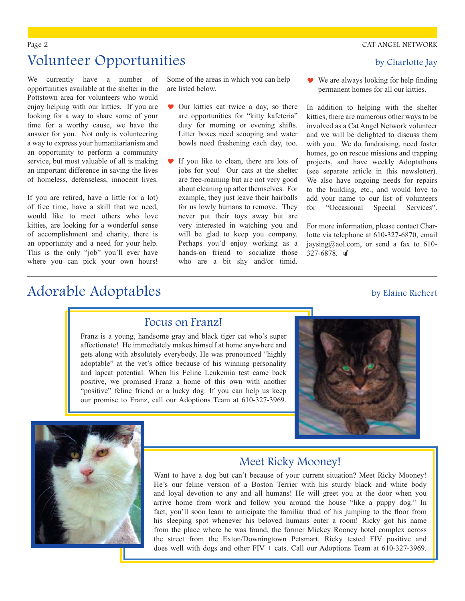# Volunteer Opportunities by Charlotte Jay

We currently have a number of opportunities available at the shelter in the Pottstown area for volunteers who would enjoy helping with our kitties. If you are looking for a way to share some of your time for a worthy cause, we have the answer for you. Not only is volunteering a way to express your humanitarianism and an opportunity to perform a community service, but most valuable of all is making an important difference in saving the lives of homeless, defenseless, innocent lives.

If you are retired, have a little (or a lot) of free time, have a skill that we need, would like to meet others who love kitties, are looking for a wonderful sense of accomplishment and charity, there is an opportunity and a need for your help. This is the only "job" you'll ever have where you can pick your own hours!

Adorable Adoptables by Elaine Richert

Some of the areas in which you can help are listed below.

- **Our kitties eat twice a day, so there** are opportunities for "kitty kafeteria" duty for morning or evening shifts. Litter boxes need scooping and water bowls need freshening each day, too.
- If you like to clean, there are lots of jobs for you! Our cats at the shelter are free-roaming but are not very good about cleaning up after themselves. For example, they just leave their hairballs for us lowly humans to remove. They never put their toys away but are very interested in watching you and will be glad to keep you company. Perhaps you'd enjoy working as a hands-on friend to socialize those who are a bit shy and/or timid.

 $\bullet\!\!\!\triangleright$  We are always looking for help finding permanent homes for all our kitties.

In addition to helping with the shelter kitties, there are numerous other ways to be involved as a Cat Angel Network volunteer and we will be delighted to discuss them with you. We do fundraising, need foster homes, go on rescue missions and trapping projects, and have weekly Adoptathons (see separate article in this newsletter). We also have ongoing needs for repairs to the building, etc., and would love to add your name to our list of volunteers for "Occasional Special Services".

For more information, please contact Charlotte via telephone at 610-327-6870, email jaysing@aol.com, or send a fax to 610- $327-6878.$ 

### Focus on Franz!

Franz is a young, handsome gray and black tiger cat who's super affectionate! He immediately makes himself at home anywhere and gets along with absolutely everybody. He was pronounced "highly adoptable" at the vet's office because of his winning personality and lapcat potential. When his Feline Leukemia test came back positive, we promised Franz a home of this own with another "positive" feline friend or a lucky dog. If you can help us keep our promise to Franz, call our Adoptions Team at 610-327-3969.





## Meet Ricky Mooney!

Want to have a dog but can't because of your current situation? Meet Ricky Mooney! He's our feline version of a Boston Terrier with his sturdy black and white body and loyal devotion to any and all humans! He will greet you at the door when you arrive home from work and follow you around the house "like a puppy dog." In fact, you'll soon learn to anticipate the familiar thud of his jumping to the floor from his sleeping spot whenever his beloved humans enter a room! Ricky got his name from the place where he was found, the former Mickey Rooney hotel complex across the street from the Exton/Downingtown Petsmart. Ricky tested FIV positive and does well with dogs and other  $FIV + \text{cats}$ . Call our Adoptions Team at 610-327-3969.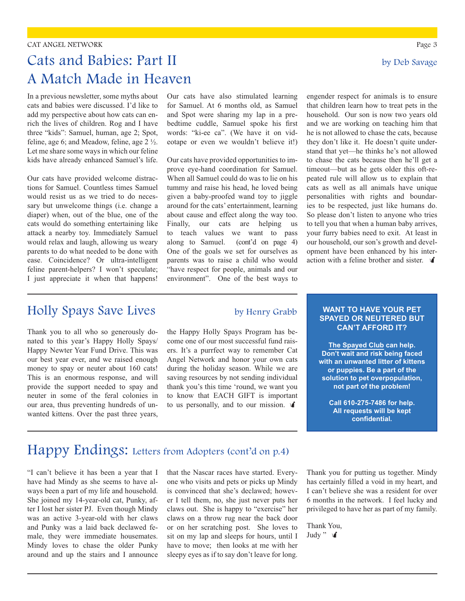### CAT ANGEL NETWORK Page 3

# Cats and Babies: Part II by Deb Savage A Match Made in Heaven

In a previous newsletter, some myths about cats and babies were discussed. I'd like to add my perspective about how cats can enrich the lives of children. Rog and I have three "kids": Samuel, human, age 2; Spot, feline, age 6; and Meadow, feline, age 2 ½. Let me share some ways in which our feline kids have already enhanced Samuel's life.

Our cats have provided welcome distractions for Samuel. Countless times Samuel would resist us as we tried to do necessary but unwelcome things (i.e. change a diaper) when, out of the blue, one of the cats would do something entertaining like attack a nearby toy. Immediately Samuel would relax and laugh, allowing us weary parents to do what needed to be done with ease. Coincidence? Or ultra-intelligent feline parent-helpers? I won't speculate; I just appreciate it when that happens!

Holly Spays Save Lives by Henry Grabb

Thank you to all who so generously donated to this year's Happy Holly Spays/ Happy Newter Year Fund Drive. This was our best year ever, and we raised enough money to spay or neuter about 160 cats! This is an enormous response, and will provide the support needed to spay and neuter in some of the feral colonies in our area, thus preventing hundreds of unwanted kittens. Over the past three years, Our cats have also stimulated learning for Samuel. At 6 months old, as Samuel and Spot were sharing my lap in a prebedtime cuddle, Samuel spoke his first words: "ki-ee ca". (We have it on videotape or even we wouldn't believe it!)

Our cats have provided opportunities to improve eye-hand coordination for Samuel. When all Samuel could do was to lie on his tummy and raise his head, he loved being given a baby-proofed wand toy to jiggle around for the cats' entertainment, learning about cause and effect along the way too. Finally, our cats are helping us to teach values we want to pass along to Samuel. (cont'd on page 4) One of the goals we set for ourselves as parents was to raise a child who would "have respect for people, animals and our environment". One of the best ways to

engender respect for animals is to ensure that children learn how to treat pets in the household. Our son is now two years old and we are working on teaching him that he is not allowed to chase the cats, because they don't like it. He doesn't quite understand that yet—he thinks he's not allowed to chase the cats because then he'll get a timeout—but as he gets older this oft-repeated rule will allow us to explain that cats as well as all animals have unique personalities with rights and boundaries to be respected, just like humans do. So please don't listen to anyone who tries to tell you that when a human baby arrives, your furry babies need to exit. At least in our household, our son's growth and development have been enhanced by his interaction with a feline brother and sister.  $\mathbf{\hat{I}}$ 

the Happy Holly Spays Program has become one of our most successful fund raisers. It's a purrfect way to remember Cat Angel Network and honor your own cats during the holiday season. While we are saving resources by not sending individual thank you's this time 'round, we want you to know that EACH GIFT is important to us personally, and to our mission.  $\mathbf{\hat{A}}$ 

### **WANT TO HAVE YOUR PET SPAYED OR NEUTERED BUT CAN'T AFFORD IT?**

**The Spayed Club can help. Don't wait and risk being faced with an unwanted litter of kittens or puppies. Be a part of the solution to pet overpopulation, not part of the problem!** 

**Call 610-275-7486 for help. All requests will be kept**  confidential.

## Happy Endings: Letters from Adopters (cont'd on p.4)

"I can't believe it has been a year that I have had Mindy as she seems to have always been a part of my life and household. She joined my 14-year-old cat, Punky, after I lost her sister PJ. Even though Mindy was an active 3-year-old with her claws and Punky was a laid back declawed female, they were immediate housemates. Mindy loves to chase the older Punky around and up the stairs and I announce that the Nascar races have started. Everyone who visits and pets or picks up Mindy is convinced that she's declawed; however I tell them, no, she just never puts her claws out. She is happy to "exercise" her claws on a throw rug near the back door or on her scratching post. She loves to sit on my lap and sleeps for hours, until I have to move; then looks at me with her sleepy eyes as if to say don't leave for long.

Thank you for putting us together. Mindy has certainly filled a void in my heart, and I can't believe she was a resident for over 6 months in the network. I feel lucky and privileged to have her as part of my family.

Thank You, Judy "  $\triangleleft$